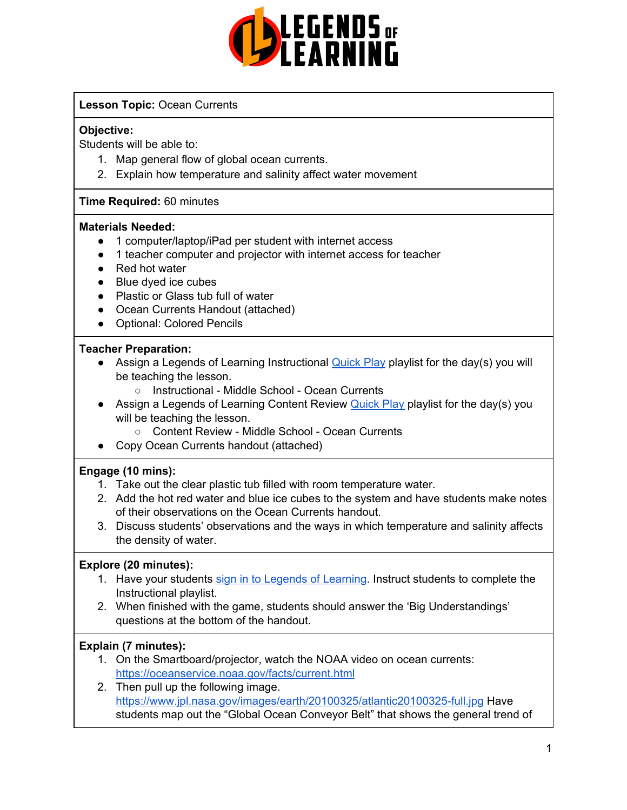

# **Lesson Topic:** Ocean Currents

### **Objective:**

Students will be able to:

- 1. Map general flow of global ocean currents.
- 2. Explain how temperature and salinity affect water movement

### **Time Required:** 60 minutes

#### **Materials Needed:**

- 1 computer/laptop/iPad per student with internet access
- 1 teacher computer and projector with internet access for teacher
- Red hot water
- Blue dyed ice cubes
- Plastic or Glass tub full of water
- Ocean Currents Handout (attached)
- Optional: Colored Pencils

### **Teacher Preparation:**

- Assign a Legends of Learning Instructional **[Quick](https://intercom.help/legends-of-learning/en/articles/2701866-assigning-a-quick-play-playlist) Play playlist for the day(s)** you will be teaching the lesson.
	- Instructional Middle School Ocean Currents
- Assign a Legends of Learning Content Review **[Quick](https://intercom.help/legends-of-learning/en/articles/2701866-assigning-a-quick-play-playlist) Play playlist for the day(s)** you will be teaching the lesson.
	- Content Review Middle School Ocean Currents
- Copy Ocean Currents handout (attached)

# **Engage (10 mins):**

- 1. Take out the clear plastic tub filled with room temperature water.
- 2. Add the hot red water and blue ice cubes to the system and have students make notes of their observations on the Ocean Currents handout.
- 3. Discuss students' observations and the ways in which temperature and salinity affects the density of water.

# **Explore (20 minutes):**

- 1. Have your students sign in to Legends of [Learning](https://intercom.help/legends-of-learning/en/articles/2154920-students-joining-a-playlist). Instruct students to complete the Instructional playlist.
- 2. When finished with the game, students should answer the 'Big Understandings' questions at the bottom of the handout.

# **Explain (7 minutes):**

- 1. On the Smartboard/projector, watch the NOAA video on ocean currents: <https://oceanservice.noaa.gov/facts/current.html>
- 2. Then pull up the following image. <https://www.jpl.nasa.gov/images/earth/20100325/atlantic20100325-full.jpg> Have students map out the "Global Ocean Conveyor Belt" that shows the general trend of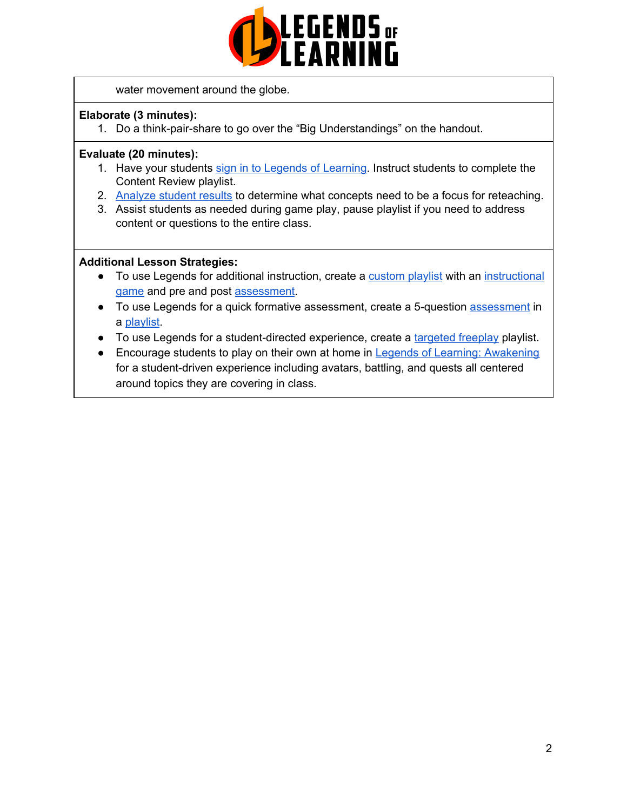

water movement around the globe.

### **Elaborate (3 minutes):**

1. Do a think-pair-share to go over the "Big Understandings" on the handout.

### **Evaluate (20 minutes):**

- 1. Have your students sign in to Legends of [Learning](https://intercom.help/legends-of-learning/en/articles/2154920-students-joining-a-playlist). Instruct students to complete the Content Review playlist.
- 2. [Analyze](https://intercom.help/legends-of-learning/en/articles/2154918-tracking-student-progress-and-performance) student results to determine what concepts need to be a focus for reteaching.
- 3. Assist students as needed during game play, pause playlist if you need to address content or questions to the entire class.

### **Additional Lesson Strategies:**

- To use Legends for additional instruction, create a [custom](https://intercom.help/legends-of-learning/en/articles/2154910-creating-a-playlist) playlist with an [instructional](https://intercom.help/legends-of-learning/en/articles/3505828-types-of-games) [game](https://intercom.help/legends-of-learning/en/articles/3505828-types-of-games) and pre and post [assessment](https://intercom.help/legends-of-learning/en/articles/2154913-adding-assessments-to-a-playlist).
- To use Legends for a quick formative [assessment](https://intercom.help/legends-of-learning/en/articles/2154913-adding-assessments-to-a-playlist), create a 5-question assessment in a [playlist](https://intercom.help/legends-of-learning/en/articles/2154910-creating-a-playlist).
- To use Legends for a student-directed experience, create a [targeted](https://intercom.help/legends-of-learning/en/articles/3340814-targeted-freeplay) freeplay playlist.
- Encourage students to play on their own at home in Legends of Learning: [Awakening](https://intercom.help/legends-of-learning/en/articles/2425490-legends-of-learning-awakening) for a student-driven experience including avatars, battling, and quests all centered around topics they are covering in class.